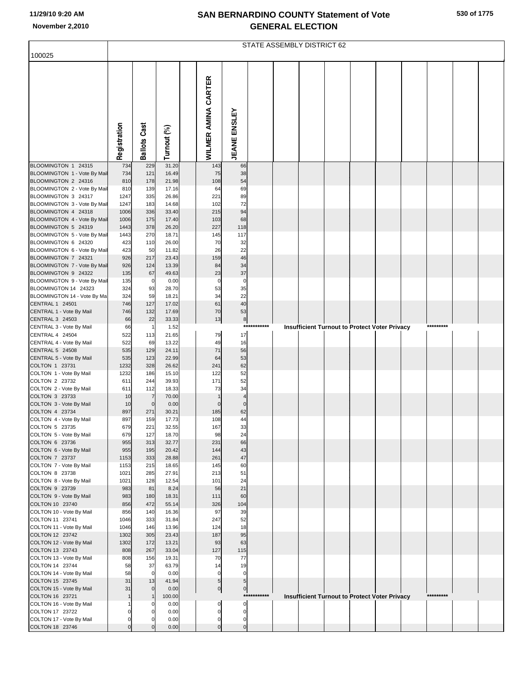|  |  | 530 of 1775 |
|--|--|-------------|
|--|--|-------------|

|                                                                                                                                                                   | STATE ASSEMBLY DISTRICT 62                |                                        |                                                    |  |                                      |                                  |             |  |  |  |  |                                                      |  |           |  |
|-------------------------------------------------------------------------------------------------------------------------------------------------------------------|-------------------------------------------|----------------------------------------|----------------------------------------------------|--|--------------------------------------|----------------------------------|-------------|--|--|--|--|------------------------------------------------------|--|-----------|--|
| 100025                                                                                                                                                            |                                           |                                        |                                                    |  |                                      |                                  |             |  |  |  |  |                                                      |  |           |  |
|                                                                                                                                                                   | Registration                              | <b>Ballots Cast</b>                    | Turnout (%)                                        |  | WILMER AMINA CARTER                  | <b>JEANE ENSLEY</b>              |             |  |  |  |  |                                                      |  |           |  |
| BLOOMINGTON 1 24315                                                                                                                                               | 734                                       | 229                                    | 31.20                                              |  | 143                                  | 66                               |             |  |  |  |  |                                                      |  |           |  |
| BLOOMINGTON 1 - Vote By Mail<br>BLOOMINGTON 2 24316<br>BLOOMINGTON 2 - Vote By Mail<br>BLOOMINGTON 3 24317<br>BLOOMINGTON 3 - Vote By Mail<br>BLOOMINGTON 4 24318 | 734<br>810<br>810<br>1247<br>1247<br>1006 | 121<br>178<br>139<br>335<br>183<br>336 | 16.49<br>21.98<br>17.16<br>26.86<br>14.68<br>33.40 |  | 75<br>108<br>64<br>221<br>102<br>215 | 38<br>54<br>69<br>89<br>72<br>94 |             |  |  |  |  |                                                      |  |           |  |
| BLOOMINGTON 4 - Vote By Mail                                                                                                                                      | 1006                                      | 175                                    | 17.40                                              |  | 103                                  | 68                               |             |  |  |  |  |                                                      |  |           |  |
| BLOOMINGTON 5 24319<br>BLOOMINGTON 5 - Vote By Mail                                                                                                               | 1443<br>1443                              | 378<br>270                             | 26.20<br>18.71                                     |  | 227<br>145                           | 118<br>117                       |             |  |  |  |  |                                                      |  |           |  |
| BLOOMINGTON 6 24320<br>BLOOMINGTON 6 - Vote By Mail<br>BLOOMINGTON 7 24321                                                                                        | 423<br>423<br>926                         | 110<br>50<br>217                       | 26.00<br>11.82<br>23.43                            |  | 70<br>26<br>159                      | 32<br>22<br>46                   |             |  |  |  |  |                                                      |  |           |  |
| BLOOMINGTON 7 - Vote By Mail<br>BLOOMINGTON 9 24322                                                                                                               | 926<br>135                                | 124<br>67                              | 13.39<br>49.63                                     |  | 84<br>23                             | 34<br>37                         |             |  |  |  |  |                                                      |  |           |  |
| BLOOMINGTON 9 - Vote By Mail<br>BLOOMINGTON 14 24323                                                                                                              | 135<br>324                                | $\mathbf 0$<br>93                      | 0.00<br>28.70                                      |  | $\mathbf 0$<br>53                    | $\mathbf 0$<br>35                |             |  |  |  |  |                                                      |  |           |  |
| BLOOMINGTON 14 - Vote By Ma                                                                                                                                       | 324                                       | 59                                     | 18.21                                              |  | 34                                   | 22                               |             |  |  |  |  |                                                      |  |           |  |
| CENTRAL 1 24501<br>CENTRAL 1 - Vote By Mail                                                                                                                       | 746<br>746                                | 127<br>132                             | 17.02<br>17.69                                     |  | 61<br>70                             | 40<br>53                         |             |  |  |  |  |                                                      |  |           |  |
| CENTRAL 3 24503<br>CENTRAL 3 - Vote By Mail                                                                                                                       | 66<br>66                                  | 22<br>$\overline{1}$                   | 33.33<br>1.52                                      |  | 13                                   | 8                                | *********** |  |  |  |  | <b>Insufficient Turnout to Protect Voter Privacy</b> |  | ********* |  |
| CENTRAL 4 24504                                                                                                                                                   | 522                                       | 113                                    | 21.65                                              |  | 79                                   | 17                               |             |  |  |  |  |                                                      |  |           |  |
| CENTRAL 4 - Vote By Mail<br>CENTRAL 5 24508                                                                                                                       | 522<br>535                                | 69<br>129                              | 13.22<br>24.11                                     |  | 49<br>71                             | 16<br>56                         |             |  |  |  |  |                                                      |  |           |  |
| CENTRAL 5 - Vote By Mail                                                                                                                                          | 535                                       | 123                                    | 22.99                                              |  | 64                                   | 53                               |             |  |  |  |  |                                                      |  |           |  |
| COLTON 1 23731<br>COLTON 1 - Vote By Mail                                                                                                                         | 1232<br>1232                              | 328<br>186                             | 26.62<br>15.10                                     |  | 241<br>122                           | 62<br>52                         |             |  |  |  |  |                                                      |  |           |  |
| COLTON 2 23732                                                                                                                                                    | 611                                       | 244                                    | 39.93                                              |  | 171                                  | 52                               |             |  |  |  |  |                                                      |  |           |  |
| COLTON 2 - Vote By Mail<br>COLTON 3 23733                                                                                                                         | 611<br>10                                 | 112<br>$\overline{7}$                  | 18.33<br>70.00                                     |  | 73                                   | 34<br>$\overline{4}$             |             |  |  |  |  |                                                      |  |           |  |
| COLTON 3 - Vote By Mail                                                                                                                                           | 10                                        | $\mathbf 0$                            | 0.00                                               |  |                                      | $\Omega$                         |             |  |  |  |  |                                                      |  |           |  |
| COLTON 4 23734<br>COLTON 4 - Vote By Mail                                                                                                                         | 897<br>897                                | 271<br>159                             | 30.21<br>17.73                                     |  | 185<br>108                           | 62<br>44                         |             |  |  |  |  |                                                      |  |           |  |
| COLTON 5 23735                                                                                                                                                    | 679                                       | 221                                    | 32.55                                              |  | 167                                  | 33                               |             |  |  |  |  |                                                      |  |           |  |
| COLTON 5 - Vote By Mail<br>COLTON 6 23736                                                                                                                         | 679<br>955                                | 127<br>313                             | 18.70<br>32.77                                     |  | 98<br>231                            | 24<br>66                         |             |  |  |  |  |                                                      |  |           |  |
| COLTON 6 - Vote By Mail                                                                                                                                           | 955                                       | 195                                    | 20.42                                              |  | 144                                  | 43                               |             |  |  |  |  |                                                      |  |           |  |
| COLTON 7 23737<br>COLTON 7 - Vote By Mail                                                                                                                         | 1153<br>1153                              | 333<br>215                             | 28.88<br>18.65                                     |  | 261<br>145                           | 47<br>60                         |             |  |  |  |  |                                                      |  |           |  |
| COLTON 8 23738                                                                                                                                                    | 1021                                      | 285                                    | 27.91                                              |  | 213                                  | 51                               |             |  |  |  |  |                                                      |  |           |  |
| COLTON 8 - Vote By Mail<br>COLTON 9 23739                                                                                                                         | 1021<br>983                               | 128<br>81                              | 12.54<br>8.24                                      |  | 101<br>56                            | 24<br>21                         |             |  |  |  |  |                                                      |  |           |  |
| COLTON 9 - Vote By Mail                                                                                                                                           | 983                                       | 180                                    | 18.31                                              |  | 111                                  | 60                               |             |  |  |  |  |                                                      |  |           |  |
| COLTON 10 23740                                                                                                                                                   | 856                                       | 472                                    | 55.14                                              |  | 326<br>97                            | 104                              |             |  |  |  |  |                                                      |  |           |  |
| COLTON 10 - Vote By Mail<br>COLTON 11 23741                                                                                                                       | 856<br>1046                               | 140<br>333                             | 16.36<br>31.84                                     |  | 247                                  | 39<br>52                         |             |  |  |  |  |                                                      |  |           |  |
| COLTON 11 - Vote By Mail                                                                                                                                          | 1046                                      | 146                                    | 13.96                                              |  | 124                                  | 18                               |             |  |  |  |  |                                                      |  |           |  |
| COLTON 12 23742<br>COLTON 12 - Vote By Mail                                                                                                                       | 1302<br>1302                              | 305<br>172                             | 23.43<br>13.21                                     |  | 187<br>93                            | 95<br>63                         |             |  |  |  |  |                                                      |  |           |  |
| COLTON 13 23743                                                                                                                                                   | 808                                       | 267                                    | 33.04                                              |  | 127                                  | 115                              |             |  |  |  |  |                                                      |  |           |  |
| COLTON 13 - Vote By Mail<br>COLTON 14 23744                                                                                                                       | 808<br>58                                 | 156<br>37                              | 19.31<br>63.79                                     |  | 70<br>14                             | 77<br>19                         |             |  |  |  |  |                                                      |  |           |  |
| COLTON 14 - Vote By Mail                                                                                                                                          | 58                                        | $\mathbf 0$                            | 0.00                                               |  | $\Omega$                             | $\Omega$                         |             |  |  |  |  |                                                      |  |           |  |
| COLTON 15 23745<br>COLTON 15 - Vote By Mail                                                                                                                       | 31<br>31                                  | 13                                     | 41.94<br>0.00                                      |  | 5 <sub>5</sub><br>$\overline{0}$     | 5 <sub>5</sub><br>$\overline{0}$ |             |  |  |  |  |                                                      |  |           |  |
| COLTON 16 23721                                                                                                                                                   |                                           |                                        | 100.00                                             |  |                                      |                                  | *********** |  |  |  |  | Insufficient Turnout to Protect Voter Privacy        |  | ********* |  |
| COLTON 16 - Vote By Mail<br>COLTON 17 23722                                                                                                                       | $\Omega$                                  | $\Omega$                               | 0.00<br>0.00                                       |  | 0<br>0                               | $\Omega$<br>0                    |             |  |  |  |  |                                                      |  |           |  |
| COLTON 17 - Vote By Mail                                                                                                                                          | $\mathbf 0$                               |                                        | 0.00                                               |  | 0                                    | 0                                |             |  |  |  |  |                                                      |  |           |  |
| COLTON 18 23746                                                                                                                                                   | $\mathbf 0$                               | $\Omega$                               | 0.00                                               |  | $\overline{0}$                       | $\overline{0}$                   |             |  |  |  |  |                                                      |  |           |  |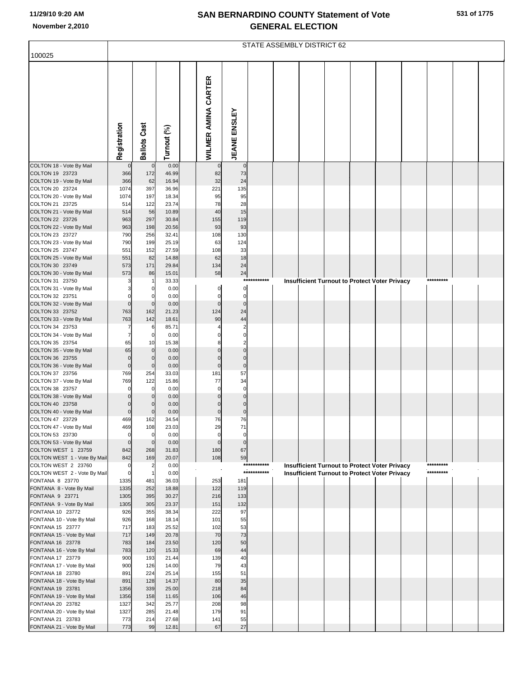|                                                     | STATE ASSEMBLY DISTRICT 62 |                     |                |  |                     |                            |             |  |  |  |  |                                                                                                              |  |           |  |
|-----------------------------------------------------|----------------------------|---------------------|----------------|--|---------------------|----------------------------|-------------|--|--|--|--|--------------------------------------------------------------------------------------------------------------|--|-----------|--|
| 100025                                              |                            |                     |                |  |                     |                            |             |  |  |  |  |                                                                                                              |  |           |  |
|                                                     |                            |                     |                |  |                     |                            |             |  |  |  |  |                                                                                                              |  |           |  |
|                                                     |                            |                     |                |  |                     |                            |             |  |  |  |  |                                                                                                              |  |           |  |
|                                                     |                            |                     |                |  | WILMER AMINA CARTER |                            |             |  |  |  |  |                                                                                                              |  |           |  |
|                                                     |                            |                     |                |  |                     |                            |             |  |  |  |  |                                                                                                              |  |           |  |
|                                                     |                            |                     |                |  |                     |                            |             |  |  |  |  |                                                                                                              |  |           |  |
|                                                     |                            |                     |                |  |                     |                            |             |  |  |  |  |                                                                                                              |  |           |  |
|                                                     |                            |                     |                |  |                     |                            |             |  |  |  |  |                                                                                                              |  |           |  |
|                                                     |                            |                     |                |  |                     |                            |             |  |  |  |  |                                                                                                              |  |           |  |
|                                                     | Registration               | <b>Ballots Cast</b> | Turnout (%)    |  |                     | <b>JEANE ENSLEY</b>        |             |  |  |  |  |                                                                                                              |  |           |  |
| COLTON 18 - Vote By Mail                            | $\mathbf 0$                | $\mathbf 0$         | 0.00           |  | $\mathbf 0$         | $\mathbf 0$                |             |  |  |  |  |                                                                                                              |  |           |  |
| COLTON 19 23723                                     | 366                        | 172                 | 46.99          |  | 82                  | 73                         |             |  |  |  |  |                                                                                                              |  |           |  |
| COLTON 19 - Vote By Mail                            | 366                        | 62                  | 16.94          |  | 32                  | 24                         |             |  |  |  |  |                                                                                                              |  |           |  |
| COLTON 20 23724<br>COLTON 20 - Vote By Mail         | 1074<br>1074               | 397<br>197          | 36.96<br>18.34 |  | 221<br>95           | 135<br>95                  |             |  |  |  |  |                                                                                                              |  |           |  |
| COLTON 21 23725                                     | 514                        | 122                 | 23.74          |  | 78                  | 28                         |             |  |  |  |  |                                                                                                              |  |           |  |
| COLTON 21 - Vote By Mail                            | 514                        | 56                  | 10.89          |  | 40                  | 15                         |             |  |  |  |  |                                                                                                              |  |           |  |
| COLTON 22 23726<br>COLTON 22 - Vote By Mail         | 963<br>963                 | 297<br>198          | 30.84<br>20.56 |  | 155<br>93           | 119<br>93                  |             |  |  |  |  |                                                                                                              |  |           |  |
| COLTON 23 23727                                     | 790                        | 256                 | 32.41          |  | 108                 | 130                        |             |  |  |  |  |                                                                                                              |  |           |  |
| COLTON 23 - Vote By Mail                            | 790                        | 199                 | 25.19          |  | 63                  | 124                        |             |  |  |  |  |                                                                                                              |  |           |  |
| COLTON 25 23747<br>COLTON 25 - Vote By Mail         | 551<br>551                 | 152<br>82           | 27.59<br>14.88 |  | 108<br>62           | 33<br>18                   |             |  |  |  |  |                                                                                                              |  |           |  |
| COLTON 30 23749                                     | 573                        | 171                 | 29.84          |  | 134                 | 24                         |             |  |  |  |  |                                                                                                              |  |           |  |
| COLTON 30 - Vote By Mail                            | 573                        | 86                  | 15.01          |  | 58                  | 24                         | *********** |  |  |  |  |                                                                                                              |  | ********* |  |
| COLTON 31 23750<br>COLTON 31 - Vote By Mail         |                            | 0                   | 33.33<br>0.00  |  | 0                   | $\mathbf 0$                |             |  |  |  |  | <b>Insufficient Turnout to Protect Voter Privacy</b>                                                         |  |           |  |
| COLTON 32 23751                                     |                            | 0                   | 0.00           |  | 0                   | $\pmb{0}$                  |             |  |  |  |  |                                                                                                              |  |           |  |
| COLTON 32 - Vote By Mail                            | $\mathbf 0$                | $\mathbf 0$         | 0.00           |  | $\mathbf 0$         | $\mathbf 0$                |             |  |  |  |  |                                                                                                              |  |           |  |
| COLTON 33 23752<br>COLTON 33 - Vote By Mail         | 763<br>763                 | 162<br>142          | 21.23<br>18.61 |  | 124<br>90           | 24<br>44                   |             |  |  |  |  |                                                                                                              |  |           |  |
| COLTON 34 23753                                     |                            | 6                   | 85.71          |  |                     |                            |             |  |  |  |  |                                                                                                              |  |           |  |
| COLTON 34 - Vote By Mail                            | $\overline{7}$             | $\mathbf 0$         | 0.00           |  |                     | $\mathbf 0$                |             |  |  |  |  |                                                                                                              |  |           |  |
| COLTON 35 23754<br>COLTON 35 - Vote By Mail         | 65<br>65                   | 10<br>$\mathbf 0$   | 15.38<br>0.00  |  | $\Omega$            | $\overline{2}$<br>$\Omega$ |             |  |  |  |  |                                                                                                              |  |           |  |
| COLTON 36 23755                                     | $\mathbf 0$                | $\Omega$            | 0.00           |  | $\mathbf 0$         | $\mathbf 0$                |             |  |  |  |  |                                                                                                              |  |           |  |
| COLTON 36 - Vote By Mail                            | $\mathbf 0$                | $\mathbf 0$         | 0.00           |  | $\mathbf 0$         | $\mathbf 0$                |             |  |  |  |  |                                                                                                              |  |           |  |
| COLTON 37 23756<br>COLTON 37 - Vote By Mail         | 769<br>769                 | 254<br>122          | 33.03<br>15.86 |  | 181<br>77           | 57<br>34                   |             |  |  |  |  |                                                                                                              |  |           |  |
| COLTON 38 23757                                     |                            | 0                   | 0.00           |  | $\Omega$            | $\mathbf 0$                |             |  |  |  |  |                                                                                                              |  |           |  |
| COLTON 38 - Vote By Mail                            |                            |                     | 0.00           |  | $\Omega$            | $\mathbf 0$                |             |  |  |  |  |                                                                                                              |  |           |  |
| COLTON 40 23758<br>COLTON 40 - Vote By Mail         | $\mathbf 0$<br>$\mathbf 0$ | $\mathbf 0$         | 0.00<br>0.00   |  | $\mathbf 0$         | $\mathbf 0$<br>$\mathbf 0$ |             |  |  |  |  |                                                                                                              |  |           |  |
| COLTON 47 23729                                     | 469                        | 162                 | 34.54          |  |                     |                            |             |  |  |  |  |                                                                                                              |  |           |  |
| COLTON 47 - Vote By Mail                            | 469                        | 108                 | 23.03          |  | 29                  | 71                         |             |  |  |  |  |                                                                                                              |  |           |  |
| COLTON 53 23730<br>COLTON 53 - Vote By Mail         | $\Omega$<br>$\mathbf 0$    | $\overline{0}$      | 0.00<br>0.00   |  | 0<br>$\mathbf 0$    | 0<br>$\mathbf 0$           |             |  |  |  |  |                                                                                                              |  |           |  |
| COLTON WEST 1 23759                                 | 842                        | 268                 | 31.83          |  | 180                 | 67                         |             |  |  |  |  |                                                                                                              |  |           |  |
| COLTON WEST 1 - Vote By Mail                        | 842                        | 169                 | 20.07          |  | 108                 | 59                         | *********** |  |  |  |  |                                                                                                              |  | ********* |  |
| COLTON WEST 2 23760<br>COLTON WEST 2 - Vote By Mail | 0<br>$\mathbf 0$           |                     | 0.00<br>0.00   |  |                     |                            | *********** |  |  |  |  | <b>Insufficient Turnout to Protect Voter Privacy</b><br><b>Insufficient Turnout to Protect Voter Privacy</b> |  | ********* |  |
| FONTANA 8 23770                                     | 1335                       | 481                 | 36.03          |  | 253                 | 181                        |             |  |  |  |  |                                                                                                              |  |           |  |
| FONTANA 8 - Vote By Mail                            | 1335                       | 252                 | 18.88          |  | 122                 | 119                        |             |  |  |  |  |                                                                                                              |  |           |  |
| FONTANA 9 23771<br>FONTANA 9 - Vote By Mail         | 1305<br>1305               | 395<br>305          | 30.27<br>23.37 |  | 216<br>151          | 133<br>132                 |             |  |  |  |  |                                                                                                              |  |           |  |
| FONTANA 10 23772                                    | 926                        | 355                 | 38.34          |  | 222                 | 97                         |             |  |  |  |  |                                                                                                              |  |           |  |
| FONTANA 10 - Vote By Mail                           | 926                        | 168                 | 18.14          |  | 101                 | 55                         |             |  |  |  |  |                                                                                                              |  |           |  |
| FONTANA 15 23777<br>FONTANA 15 - Vote By Mail       | 717<br>717                 | 183<br>149          | 25.52<br>20.78 |  | 102<br>70           | 53<br>73                   |             |  |  |  |  |                                                                                                              |  |           |  |
| FONTANA 16 23778                                    | 783                        | 184                 | 23.50          |  | 120                 | 50                         |             |  |  |  |  |                                                                                                              |  |           |  |
| FONTANA 16 - Vote By Mail                           | 783                        | 120                 | 15.33          |  | 69                  | 44                         |             |  |  |  |  |                                                                                                              |  |           |  |
| FONTANA 17 23779<br>FONTANA 17 - Vote By Mail       | 900<br>900                 | 193<br>126          | 21.44<br>14.00 |  | 139<br>79           | 40<br>43                   |             |  |  |  |  |                                                                                                              |  |           |  |
| FONTANA 18 23780                                    | 891                        | 224                 | 25.14          |  | 155                 | 51                         |             |  |  |  |  |                                                                                                              |  |           |  |
| FONTANA 18 - Vote By Mail                           | 891                        | 128                 | 14.37          |  | 80                  | 35                         |             |  |  |  |  |                                                                                                              |  |           |  |
| FONTANA 19 23781<br>FONTANA 19 - Vote By Mail       | 1356<br>1356               | 339<br>158          | 25.00<br>11.65 |  | 218<br>106          | 84<br>46                   |             |  |  |  |  |                                                                                                              |  |           |  |
| FONTANA 20 23782                                    | 1327                       | 342                 | 25.77          |  | 208                 | 98                         |             |  |  |  |  |                                                                                                              |  |           |  |
| FONTANA 20 - Vote By Mail                           | 1327                       | 285                 | 21.48          |  | 179                 | 91                         |             |  |  |  |  |                                                                                                              |  |           |  |
| FONTANA 21 23783<br>FONTANA 21 - Vote By Mail       | 773<br>773                 | 214<br>99           | 27.68<br>12.81 |  | 141<br>67           | 55<br>27                   |             |  |  |  |  |                                                                                                              |  |           |  |
|                                                     |                            |                     |                |  |                     |                            |             |  |  |  |  |                                                                                                              |  |           |  |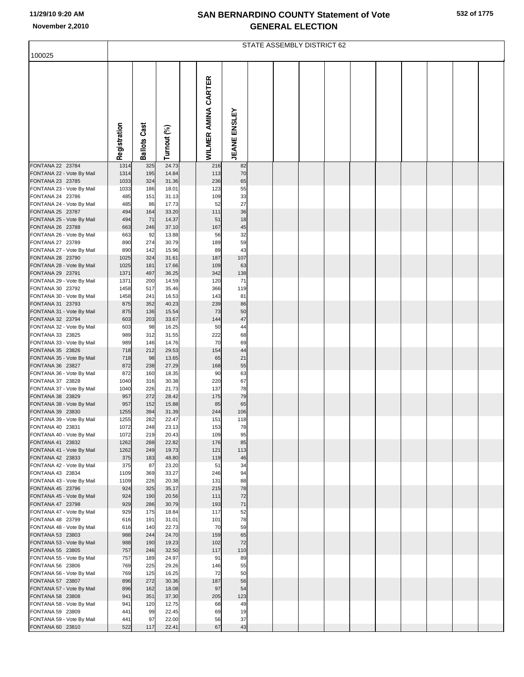|                                               | STATE ASSEMBLY DISTRICT 62 |                     |                |  |                     |                     |  |  |  |  |  |  |  |  |  |
|-----------------------------------------------|----------------------------|---------------------|----------------|--|---------------------|---------------------|--|--|--|--|--|--|--|--|--|
| 100025                                        |                            |                     |                |  |                     |                     |  |  |  |  |  |  |  |  |  |
|                                               | Registration               | <b>Ballots Cast</b> | Turnout (%)    |  | WILMER AMINA CARTER | <b>JEANE ENSLEY</b> |  |  |  |  |  |  |  |  |  |
|                                               |                            |                     |                |  |                     |                     |  |  |  |  |  |  |  |  |  |
| FONTANA 22 23784                              | 1314                       | 325                 | 24.73          |  | 216                 | 82                  |  |  |  |  |  |  |  |  |  |
| FONTANA 22 - Vote By Mail                     | 1314                       | 195                 | 14.84          |  | 113                 | 70                  |  |  |  |  |  |  |  |  |  |
| FONTANA 23 23785                              | 1033                       | 324                 | 31.36          |  | 236<br>123          | 65                  |  |  |  |  |  |  |  |  |  |
| FONTANA 23 - Vote By Mail<br>FONTANA 24 23786 | 1033<br>485                | 186<br>151          | 18.01<br>31.13 |  | 109                 | 55<br>33            |  |  |  |  |  |  |  |  |  |
| FONTANA 24 - Vote By Mail                     | 485                        | 86                  | 17.73          |  | 52                  | 27                  |  |  |  |  |  |  |  |  |  |
| FONTANA 25 23787                              | 494                        | 164                 | 33.20          |  | 111                 | 36                  |  |  |  |  |  |  |  |  |  |
| FONTANA 25 - Vote By Mail                     | 494                        | 71                  | 14.37          |  | 51                  | 18                  |  |  |  |  |  |  |  |  |  |
| FONTANA 26 23788                              | 663                        | 246                 | 37.10          |  | 167                 | 45                  |  |  |  |  |  |  |  |  |  |
| FONTANA 26 - Vote By Mail<br>FONTANA 27 23789 | 663<br>890                 | 92<br>274           | 13.88<br>30.79 |  | 56<br>189           | 32<br>59            |  |  |  |  |  |  |  |  |  |
| FONTANA 27 - Vote By Mail                     | 890                        | 142                 | 15.96          |  | 89                  | 43                  |  |  |  |  |  |  |  |  |  |
| FONTANA 28 23790                              | 1025                       | 324                 | 31.61          |  | 187                 | 107                 |  |  |  |  |  |  |  |  |  |
| FONTANA 28 - Vote By Mail                     | 1025                       | 181                 | 17.66          |  | 109                 | 63                  |  |  |  |  |  |  |  |  |  |
| FONTANA 29 23791<br>FONTANA 29 - Vote By Mail | 1371<br>1371               | 497                 | 36.25<br>14.59 |  | 342<br>120          | 138<br>71           |  |  |  |  |  |  |  |  |  |
| FONTANA 30 23792                              | 1458                       | 200<br>517          | 35.46          |  | 366                 | 119                 |  |  |  |  |  |  |  |  |  |
| FONTANA 30 - Vote By Mail                     | 1458                       | 241                 | 16.53          |  | 143                 | 81                  |  |  |  |  |  |  |  |  |  |
| FONTANA 31 23793                              | 875                        | 352                 | 40.23          |  | 239                 | 86                  |  |  |  |  |  |  |  |  |  |
| FONTANA 31 - Vote By Mail                     | 875                        | 136                 | 15.54          |  | 73                  | 50                  |  |  |  |  |  |  |  |  |  |
| FONTANA 32 23794<br>FONTANA 32 - Vote By Mail | 603<br>603                 | 203<br>98           | 33.67<br>16.25 |  | 144<br>50           | 47<br>44            |  |  |  |  |  |  |  |  |  |
| FONTANA 33 23825                              | 989                        | 312                 | 31.55          |  | 222                 | 68                  |  |  |  |  |  |  |  |  |  |
| FONTANA 33 - Vote By Mail                     | 989                        | 146                 | 14.76          |  | 70                  | 69                  |  |  |  |  |  |  |  |  |  |
| FONTANA 35 23826                              | 718                        | 212                 | 29.53          |  | 154                 | 44                  |  |  |  |  |  |  |  |  |  |
| FONTANA 35 - Vote By Mail                     | 718                        | 98                  | 13.65          |  | 65                  | 21                  |  |  |  |  |  |  |  |  |  |
| FONTANA 36 23827<br>FONTANA 36 - Vote By Mail | 872<br>872                 | 238<br>160          | 27.29<br>18.35 |  | 168<br>90           | 55<br>63            |  |  |  |  |  |  |  |  |  |
| FONTANA 37 23828                              | 1040                       | 316                 | 30.38          |  | 220                 | 67                  |  |  |  |  |  |  |  |  |  |
| FONTANA 37 - Vote By Mail                     | 1040                       | 226                 | 21.73          |  | 137                 | 78                  |  |  |  |  |  |  |  |  |  |
| FONTANA 38 23829                              | 957                        | 272                 | 28.42          |  | 175                 | 79                  |  |  |  |  |  |  |  |  |  |
| FONTANA 38 - Vote By Mail                     | 957                        | 152                 | 15.88          |  | 85                  | 65                  |  |  |  |  |  |  |  |  |  |
| FONTANA 39 23830<br>FONTANA 39 - Vote By Mail | 1255<br>1255               | 394<br>282          | 31.39<br>22.47 |  | 244<br>151          | 106<br>118          |  |  |  |  |  |  |  |  |  |
| FONTANA 40 23831                              | 1072                       | 248                 | 23.13          |  | 153                 | 78                  |  |  |  |  |  |  |  |  |  |
| FONTANA 40 - Vote By Mail                     | 1072                       | 219                 | 20.43          |  | 109                 | 95                  |  |  |  |  |  |  |  |  |  |
| FONTANA 41 23832                              | 1262                       | 288                 | 22.82          |  | 176                 | 85                  |  |  |  |  |  |  |  |  |  |
| FONTANA 41 - Vote By Mail                     | 1262                       | 249                 | 19.73          |  | 121                 | 113                 |  |  |  |  |  |  |  |  |  |
| FONTANA 42 23833<br>FONTANA 42 - Vote By Mail | 375<br>375                 | 183<br>87           | 48.80<br>23.20 |  | 119<br>51           | 46<br>34            |  |  |  |  |  |  |  |  |  |
| FONTANA 43 23834                              | 1109                       | 369                 | 33.27          |  | 246                 | 94                  |  |  |  |  |  |  |  |  |  |
| FONTANA 43 - Vote By Mail                     | 1109                       | 226                 | 20.38          |  | 131                 | 88                  |  |  |  |  |  |  |  |  |  |
| FONTANA 45 23796                              | 924                        | 325                 | 35.17          |  | 215                 | 78                  |  |  |  |  |  |  |  |  |  |
| FONTANA 45 - Vote By Mail<br>FONTANA 47 23798 | 924<br>929                 | 190<br>286          | 20.56<br>30.79 |  | 111<br>193          | 72<br>71            |  |  |  |  |  |  |  |  |  |
| FONTANA 47 - Vote By Mail                     | 929                        | 175                 | 18.84          |  | 117                 | 52                  |  |  |  |  |  |  |  |  |  |
| FONTANA 48 23799                              | 616                        | 191                 | 31.01          |  | 101                 | 78                  |  |  |  |  |  |  |  |  |  |
| FONTANA 48 - Vote By Mail                     | 616                        | 140                 | 22.73          |  | 70                  | 59                  |  |  |  |  |  |  |  |  |  |
| FONTANA 53 23803                              | 988                        | 244                 | 24.70          |  | 159                 | 65                  |  |  |  |  |  |  |  |  |  |
| FONTANA 53 - Vote By Mail<br>FONTANA 55 23805 | 988<br>757                 | 190<br>246          | 19.23<br>32.50 |  | 102<br>117          | 72<br>110           |  |  |  |  |  |  |  |  |  |
| FONTANA 55 - Vote By Mail                     | 757                        | 189                 | 24.97          |  | 91                  | 89                  |  |  |  |  |  |  |  |  |  |
| FONTANA 56 23806                              | 769                        | 225                 | 29.26          |  | 146                 | 55                  |  |  |  |  |  |  |  |  |  |
| FONTANA 56 - Vote By Mail                     | 769                        | 125                 | 16.25          |  | 72                  | 50                  |  |  |  |  |  |  |  |  |  |
| FONTANA 57 23807                              | 896                        | 272                 | 30.36          |  | 187<br>97           | 56                  |  |  |  |  |  |  |  |  |  |
| FONTANA 57 - Vote By Mail<br>FONTANA 58 23808 | 896<br>941                 | 162<br>351          | 18.08<br>37.30 |  | 205                 | 54<br>123           |  |  |  |  |  |  |  |  |  |
| FONTANA 58 - Vote By Mail                     | 941                        | 120                 | 12.75          |  | 68                  | 49                  |  |  |  |  |  |  |  |  |  |
| FONTANA 59 23809                              | 441                        | 99                  | 22.45          |  | 69                  | 19                  |  |  |  |  |  |  |  |  |  |
| FONTANA 59 - Vote By Mail                     | 441                        | 97                  | 22.00          |  | 56                  | 37                  |  |  |  |  |  |  |  |  |  |
| FONTANA 60 23810                              | 522                        | 117                 | 22.41          |  | 67                  | 43                  |  |  |  |  |  |  |  |  |  |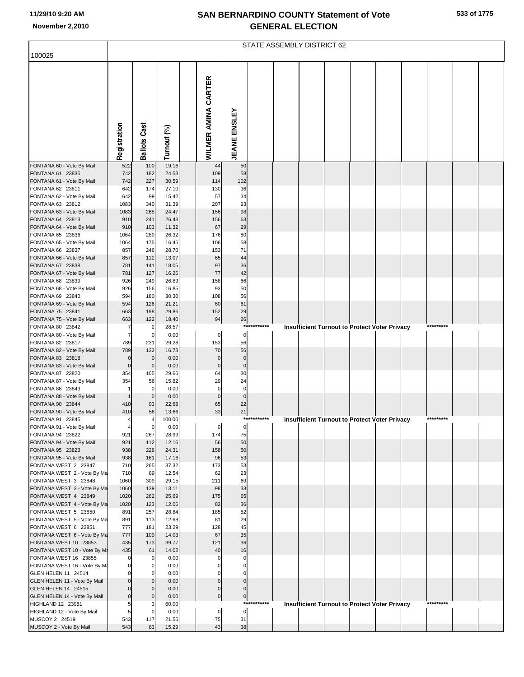|  | 533 of 1775 |
|--|-------------|
|  |             |

|                                                       | STATE ASSEMBLY DISTRICT 62 |                       |                |  |                    |                     |             |  |  |  |  |                                                      |  |           |  |
|-------------------------------------------------------|----------------------------|-----------------------|----------------|--|--------------------|---------------------|-------------|--|--|--|--|------------------------------------------------------|--|-----------|--|
| 100025                                                |                            |                       |                |  |                    |                     |             |  |  |  |  |                                                      |  |           |  |
|                                                       |                            |                       |                |  |                    |                     |             |  |  |  |  |                                                      |  |           |  |
|                                                       |                            |                       |                |  |                    |                     |             |  |  |  |  |                                                      |  |           |  |
|                                                       |                            |                       |                |  | CARTER             |                     |             |  |  |  |  |                                                      |  |           |  |
|                                                       |                            |                       |                |  |                    |                     |             |  |  |  |  |                                                      |  |           |  |
|                                                       |                            |                       |                |  |                    |                     |             |  |  |  |  |                                                      |  |           |  |
|                                                       |                            |                       |                |  |                    |                     |             |  |  |  |  |                                                      |  |           |  |
|                                                       |                            |                       |                |  |                    |                     |             |  |  |  |  |                                                      |  |           |  |
|                                                       | Registration               | <b>Ballots Cast</b>   | Turnout (%)    |  | WILMER AMINA       | <b>JEANE ENSLEY</b> |             |  |  |  |  |                                                      |  |           |  |
|                                                       |                            |                       |                |  |                    |                     |             |  |  |  |  |                                                      |  |           |  |
| FONTANA 60 - Vote By Mail<br>FONTANA 61 23835         | 522<br>742                 | 100<br>182            | 19.16<br>24.53 |  | 44<br>109          | 50<br>58            |             |  |  |  |  |                                                      |  |           |  |
| FONTANA 61 - Vote By Mail                             | 742                        | 227                   | 30.59          |  | 114                | 102                 |             |  |  |  |  |                                                      |  |           |  |
| FONTANA 62 23811<br>FONTANA 62 - Vote By Mail         | 642<br>642                 | 174<br>99             | 27.10<br>15.42 |  | 130<br>57          | 36<br>34            |             |  |  |  |  |                                                      |  |           |  |
| FONTANA 63 23812                                      | 1083                       | 340                   | 31.39          |  | 207                | 93                  |             |  |  |  |  |                                                      |  |           |  |
| FONTANA 63 - Vote By Mail                             | 1083                       | 265                   | 24.47          |  | 156                | 98                  |             |  |  |  |  |                                                      |  |           |  |
| FONTANA 64 23813<br>FONTANA 64 - Vote By Mail         | 910<br>910                 | 241<br>103            | 26.48<br>11.32 |  | 156<br>67          | 63<br>29            |             |  |  |  |  |                                                      |  |           |  |
| FONTANA 65 23836                                      | 1064                       | 280                   | 26.32          |  | 176                | 80                  |             |  |  |  |  |                                                      |  |           |  |
| FONTANA 65 - Vote By Mail<br>FONTANA 66 23837         | 1064<br>857                | 175<br>246            | 16.45<br>28.70 |  | 106<br>153         | 58<br>71            |             |  |  |  |  |                                                      |  |           |  |
| FONTANA 66 - Vote By Mail                             | 857                        | 112                   | 13.07          |  | 65                 | 44                  |             |  |  |  |  |                                                      |  |           |  |
| FONTANA 67 23838                                      | 781                        | 141<br>127            | 18.05          |  | 97<br>77           | 36<br>42            |             |  |  |  |  |                                                      |  |           |  |
| FONTANA 67 - Vote By Mail<br>FONTANA 68 23839         | 781<br>926                 | 249                   | 16.26<br>26.89 |  | 158                | 66                  |             |  |  |  |  |                                                      |  |           |  |
| FONTANA 68 - Vote By Mail                             | 926                        | 156                   | 16.85          |  | 93                 | 50                  |             |  |  |  |  |                                                      |  |           |  |
| FONTANA 69 23840<br>FONTANA 69 - Vote By Mail         | 594<br>594                 | 180<br>126            | 30.30<br>21.21 |  | 108<br>60          | 56<br>61            |             |  |  |  |  |                                                      |  |           |  |
| FONTANA 75 23841                                      | 663                        | 198                   | 29.86          |  | 152                | 29                  |             |  |  |  |  |                                                      |  |           |  |
| FONTANA 75 - Vote By Mail<br>FONTANA 80 23842         | 663<br>7                   | 122<br>$\overline{2}$ | 18.40<br>28.57 |  | 94                 | 26                  | *********** |  |  |  |  |                                                      |  | ********* |  |
| FONTANA 80 - Vote By Mail                             | $\overline{7}$             | $\mathbf 0$           | 0.00           |  | $\mathbf 0$        | $\mathbf 0$         |             |  |  |  |  | <b>Insufficient Turnout to Protect Voter Privacy</b> |  |           |  |
| FONTANA 82 23817                                      | 789                        | 231                   | 29.28          |  | 153                | 56                  |             |  |  |  |  |                                                      |  |           |  |
| FONTANA 82 - Vote By Mail<br>FONTANA 83 23818         | 789<br>$\mathbf 0$         | 132<br>$\mathbf 0$    | 16.73<br>0.00  |  | 70<br>$\mathbf 0$  | 56<br>$\mathbf 0$   |             |  |  |  |  |                                                      |  |           |  |
| FONTANA 83 - Vote By Mail                             | $\mathbf 0$                | $\mathbf 0$           | 0.00           |  | $\mathbf 0$        | $\mathbf 0$         |             |  |  |  |  |                                                      |  |           |  |
| FONTANA 87 23820<br>FONTANA 87 - Vote By Mail         | 354<br>354                 | 105<br>56             | 29.66<br>15.82 |  | 64<br>29           | 30<br>24            |             |  |  |  |  |                                                      |  |           |  |
| FONTANA 88 23843                                      | -1                         | $\mathbf 0$           | 0.00           |  | $\mathbf 0$        | $\mathbf 0$         |             |  |  |  |  |                                                      |  |           |  |
| FONTANA 88 - Vote By Mail<br>FONTANA 90 23844         | $\mathbf 1$<br>410         | $\mathbf 0$<br>93     | 0.00<br>22.68  |  | $\mathbf 0$<br>65  | $\mathbf 0$<br>22   |             |  |  |  |  |                                                      |  |           |  |
| FONTANA 90 - Vote By Mail                             | 410                        | 56                    | 13.66          |  | 33                 | 21                  |             |  |  |  |  |                                                      |  |           |  |
| FONTANA 91 23845                                      |                            |                       | 100.00         |  |                    |                     |             |  |  |  |  | Insufficient Turnout to Protect voter Privacy        |  |           |  |
| FONTANA 91 - Vote By Mail<br>FONTANA 94 23822         | $\overline{a}$<br>921      | $\mathbf 0$<br>267    | 0.00<br>28.99  |  | $\mathbf 0$<br>174 | $\mathbf 0$<br>75   |             |  |  |  |  |                                                      |  |           |  |
| FONTANA 94 - Vote By Mail                             | 921                        | 112                   | 12.16          |  | 56                 | 50                  |             |  |  |  |  |                                                      |  |           |  |
| FONTANA 95 23823<br>FONTANA 95 - Vote By Mail         | 938<br>938                 | 228<br>161            | 24.31<br>17.16 |  | 158<br>96          | 50<br>53            |             |  |  |  |  |                                                      |  |           |  |
| FONTANA WEST 2 23847                                  | 710                        | 265                   | 37.32          |  | 173                | 53                  |             |  |  |  |  |                                                      |  |           |  |
| FONTANA WEST 2 - Vote By Ma<br>FONTANA WEST 3 23848   | 710<br>1060                | 89<br>309             | 12.54<br>29.15 |  | 62<br>211          | 23<br>69            |             |  |  |  |  |                                                      |  |           |  |
| FONTANA WEST 3 - Vote By Ma                           | 1060                       | 139                   | 13.11          |  | 98                 | 33                  |             |  |  |  |  |                                                      |  |           |  |
| FONTANA WEST 4 23849                                  | 1020                       | 262                   | 25.69          |  | 175                | 65                  |             |  |  |  |  |                                                      |  |           |  |
| FONTANA WEST 4 - Vote By Ma<br>FONTANA WEST 5 23850   | 1020<br>891                | 123<br>257            | 12.06<br>28.84 |  | 82<br>185          | 36<br>52            |             |  |  |  |  |                                                      |  |           |  |
| FONTANA WEST 5 - Vote By Ma                           | 891                        | 113                   | 12.68          |  | 81                 | 29                  |             |  |  |  |  |                                                      |  |           |  |
| FONTANA WEST 6 23851<br>FONTANA WEST 6 - Vote By Ma   | 777<br>777                 | 181<br>109            | 23.29<br>14.03 |  | 128<br>67          | 45<br>35            |             |  |  |  |  |                                                      |  |           |  |
| FONTANA WEST 10 23853                                 | 435                        | 173                   | 39.77          |  | 121                | 36                  |             |  |  |  |  |                                                      |  |           |  |
| FONTANA WEST 10 - Vote By Ma<br>FONTANA WEST 16 23855 | 435                        | 61<br>$\Omega$        | 14.02<br>0.00  |  | 40                 | 16<br>0             |             |  |  |  |  |                                                      |  |           |  |
| FONTANA WEST 16 - Vote By Ma                          | $\mathbf 0$                |                       | 0.00           |  |                    | 0                   |             |  |  |  |  |                                                      |  |           |  |
| GLEN HELEN 11 24514                                   | 0<br>$\mathbf 0$           | 0<br>$\Omega$         | 0.00           |  | $\Omega$           | 0<br>$\mathbf 0$    |             |  |  |  |  |                                                      |  |           |  |
| GLEN HELEN 11 - Vote By Mail<br>GLEN HELEN 14 24515   | $\mathbf 0$                | $\Omega$              | 0.00<br>0.00   |  | $\mathbf 0$        | 0                   |             |  |  |  |  |                                                      |  |           |  |
| GLEN HELEN 14 - Vote By Mail                          | $\mathbf 0$                | $\Omega$              | 0.00           |  | $\pmb{0}$          | $\overline{0}$      |             |  |  |  |  |                                                      |  | ********* |  |
| HIGHLAND 12 23981<br>HIGHLAND 12 - Vote By Mail       | 5                          | $\mathbf 0$           | 60.00<br>0.00  |  | $\mathbf 0$        | $\pmb{0}$           | *********** |  |  |  |  | Insufficient Turnout to Protect Voter Privacy        |  |           |  |
| MUSCOY 2 24519                                        | 543                        | 117                   | 21.55          |  | 75                 | 31                  |             |  |  |  |  |                                                      |  |           |  |
| MUSCOY 2 - Vote By Mail                               | 543                        | 83                    | 15.29          |  | 43                 | 38                  |             |  |  |  |  |                                                      |  |           |  |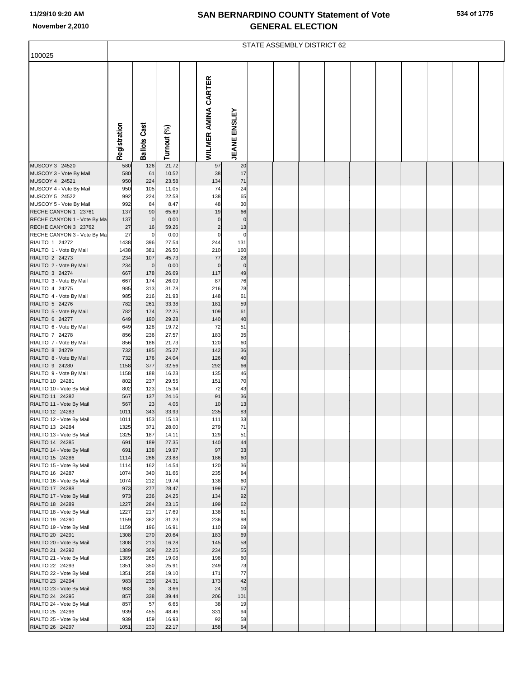|                                                     | STATE ASSEMBLY DISTRICT 62 |                     |                |  |                               |                     |  |  |  |  |  |  |  |  |
|-----------------------------------------------------|----------------------------|---------------------|----------------|--|-------------------------------|---------------------|--|--|--|--|--|--|--|--|
| 100025                                              |                            |                     |                |  |                               |                     |  |  |  |  |  |  |  |  |
|                                                     | Registration               | <b>Ballots Cast</b> | Turnout (%)    |  | WILMER AMINA CARTER           | <b>JEANE ENSLEY</b> |  |  |  |  |  |  |  |  |
| MUSCOY 3 24520                                      | 580                        | 126                 | 21.72          |  | 97                            | 20                  |  |  |  |  |  |  |  |  |
| MUSCOY 3 - Vote By Mail                             | 580                        | 61                  | 10.52          |  | 38                            | 17                  |  |  |  |  |  |  |  |  |
| MUSCOY 4 24521<br>MUSCOY 4 - Vote By Mail           | 950<br>950                 | 224<br>105          | 23.58<br>11.05 |  | 134<br>74                     | 71<br>24            |  |  |  |  |  |  |  |  |
| MUSCOY 5 24522                                      | 992                        | 224                 | 22.58          |  | 138                           | 65                  |  |  |  |  |  |  |  |  |
| MUSCOY 5 - Vote By Mail                             | 992                        | 84                  | 8.47           |  | 48                            | 30                  |  |  |  |  |  |  |  |  |
| RECHE CANYON 1 23761                                | 137                        | 90                  | 65.69          |  | 19                            | 66                  |  |  |  |  |  |  |  |  |
| RECHE CANYON 1 - Vote By Ma                         | 137                        | $\mathbf 0$         | 0.00           |  | $\mathbf 0$                   | $\pmb{0}$           |  |  |  |  |  |  |  |  |
| RECHE CANYON 3 23762<br>RECHE CANYON 3 - Vote By Ma | 27<br>27                   | 16<br>0             | 59.26<br>0.00  |  | $\overline{c}$<br>$\mathbf 0$ | 13<br>$\mathbf 0$   |  |  |  |  |  |  |  |  |
| RIALTO 1 24272                                      | 1438                       | 396                 | 27.54          |  | 244                           | 131                 |  |  |  |  |  |  |  |  |
| RIALTO 1 - Vote By Mail                             | 1438                       | 381                 | 26.50          |  | 210                           | 160                 |  |  |  |  |  |  |  |  |
| RIALTO 2 24273                                      | 234                        | 107                 | 45.73          |  | 77                            | 28                  |  |  |  |  |  |  |  |  |
| RIALTO 2 - Vote By Mail                             | 234                        | $\mathbf 0$         | 0.00           |  | $\mathbf 0$                   | $\pmb{0}$           |  |  |  |  |  |  |  |  |
| RIALTO 3 24274<br>RIALTO 3 - Vote By Mail           | 667<br>667                 | 178<br>174          | 26.69<br>26.09 |  | 117<br>87                     | 49<br>76            |  |  |  |  |  |  |  |  |
| RIALTO 4 24275                                      | 985                        | 313                 | 31.78          |  | 216                           | 78                  |  |  |  |  |  |  |  |  |
| RIALTO 4 - Vote By Mail                             | 985                        | 216                 | 21.93          |  | 148                           | 61                  |  |  |  |  |  |  |  |  |
| RIALTO 5 24276                                      | 782                        | 261                 | 33.38          |  | 181                           | 59                  |  |  |  |  |  |  |  |  |
| RIALTO 5 - Vote By Mail                             | 782                        | 174                 | 22.25          |  | 109                           | 61                  |  |  |  |  |  |  |  |  |
| RIALTO 6 24277<br>RIALTO 6 - Vote By Mail           | 649<br>649                 | 190<br>128          | 29.28<br>19.72 |  | 140<br>72                     | 40<br>51            |  |  |  |  |  |  |  |  |
| RIALTO 7 24278                                      | 856                        | 236                 | 27.57          |  | 183                           | 35                  |  |  |  |  |  |  |  |  |
| RIALTO 7 - Vote By Mail                             | 856                        | 186                 | 21.73          |  | 120                           | 60                  |  |  |  |  |  |  |  |  |
| RIALTO 8 24279                                      | 732                        | 185                 | 25.27          |  | 142                           | 36                  |  |  |  |  |  |  |  |  |
| RIALTO 8 - Vote By Mail                             | 732                        | 176                 | 24.04          |  | 126                           | 40                  |  |  |  |  |  |  |  |  |
| RIALTO 9 24280<br>RIALTO 9 - Vote By Mail           | 1158<br>1158               | 377<br>188          | 32.56<br>16.23 |  | 292<br>135                    | 66<br>46            |  |  |  |  |  |  |  |  |
| RIALTO 10 24281                                     | 802                        | 237                 | 29.55          |  | 151                           | 70                  |  |  |  |  |  |  |  |  |
| RIALTO 10 - Vote By Mail                            | 802                        | 123                 | 15.34          |  | 72                            | 43                  |  |  |  |  |  |  |  |  |
| RIALTO 11 24282                                     | 567                        | 137                 | 24.16          |  | 91                            | 36                  |  |  |  |  |  |  |  |  |
| RIALTO 11 - Vote By Mail<br>RIALTO 12 24283         | 567                        | 23                  | 4.06<br>33.93  |  | 10<br>235                     | 13<br>83            |  |  |  |  |  |  |  |  |
| RIALTO 12 - Vote By Mail                            | 1011<br>1011               | 343<br>153          | 15.13          |  | 111                           | 33                  |  |  |  |  |  |  |  |  |
| RIALTO 13 24284                                     | 1325                       | 371                 | 28.00          |  | 279                           | 71                  |  |  |  |  |  |  |  |  |
| RIALTO 13 - Vote By Mail                            | 1325                       | 187                 | 14.11          |  | 129                           | 51                  |  |  |  |  |  |  |  |  |
| RIALTO 14 24285                                     | 691                        | 189                 | 27.35          |  | 140                           | 44                  |  |  |  |  |  |  |  |  |
| RIALTO 14 - Vote By Mail<br>RIALTO 15 24286         | 691<br>1114                | 138<br>266          | 19.97<br>23.88 |  | 97<br>186                     | 33<br>60            |  |  |  |  |  |  |  |  |
| RIALTO 15 - Vote By Mail                            | 1114                       | 162                 | 14.54          |  | 120                           | 36                  |  |  |  |  |  |  |  |  |
| RIALTO 16 24287                                     | 1074                       | 340                 | 31.66          |  | 235                           | 84                  |  |  |  |  |  |  |  |  |
| RIALTO 16 - Vote By Mail                            | 1074                       | 212                 | 19.74          |  | 138                           | 60                  |  |  |  |  |  |  |  |  |
| RIALTO 17 24288<br>RIALTO 17 - Vote By Mail         | 973<br>973                 | 277<br>236          | 28.47<br>24.25 |  | 199<br>134                    | 67<br>92            |  |  |  |  |  |  |  |  |
| RIALTO 18 24289                                     | 1227                       | 284                 | 23.15          |  | 199                           | 62                  |  |  |  |  |  |  |  |  |
| RIALTO 18 - Vote By Mail                            | 1227                       | 217                 | 17.69          |  | 138                           | 61                  |  |  |  |  |  |  |  |  |
| RIALTO 19 24290                                     | 1159                       | 362                 | 31.23          |  | 236                           | 98                  |  |  |  |  |  |  |  |  |
| RIALTO 19 - Vote By Mail                            | 1159                       | 196                 | 16.91          |  | 110                           | 69                  |  |  |  |  |  |  |  |  |
| RIALTO 20 24291                                     | 1308                       | 270                 | 20.64          |  | 183                           | 69                  |  |  |  |  |  |  |  |  |
| RIALTO 20 - Vote By Mail<br>RIALTO 21 24292         | 1308<br>1389               | 213<br>309          | 16.28<br>22.25 |  | 145<br>234                    | 58<br>55            |  |  |  |  |  |  |  |  |
| RIALTO 21 - Vote By Mail                            | 1389                       | 265                 | 19.08          |  | 198                           | 60                  |  |  |  |  |  |  |  |  |
| RIALTO 22 24293                                     | 1351                       | 350                 | 25.91          |  | 249                           | 73                  |  |  |  |  |  |  |  |  |
| RIALTO 22 - Vote By Mail                            | 1351                       | 258                 | 19.10          |  | 171                           | 77                  |  |  |  |  |  |  |  |  |
| RIALTO 23 24294<br>RIALTO 23 - Vote By Mail         | 983<br>983                 | 239<br>36           | 24.31<br>3.66  |  | 173<br>24                     | 42<br>10            |  |  |  |  |  |  |  |  |
| RIALTO 24 24295                                     | 857                        | 338                 | 39.44          |  | 206                           | 101                 |  |  |  |  |  |  |  |  |
| RIALTO 24 - Vote By Mail                            | 857                        | 57                  | 6.65           |  | 38                            | 19                  |  |  |  |  |  |  |  |  |
| RIALTO 25 24296                                     | 939                        | 455                 | 48.46          |  | 331                           | 94                  |  |  |  |  |  |  |  |  |
| RIALTO 25 - Vote By Mail                            | 939                        | 159                 | 16.93          |  | 92                            | 58                  |  |  |  |  |  |  |  |  |
| RIALTO 26 24297                                     | 1051                       | 233                 | 22.17          |  | 158                           | 64                  |  |  |  |  |  |  |  |  |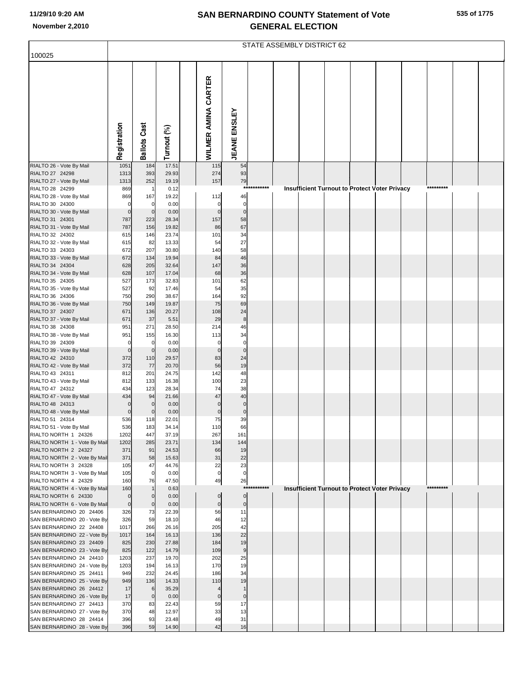| 535 of 1775 |  |  |  |
|-------------|--|--|--|
|-------------|--|--|--|

|                                                          | STATE ASSEMBLY DISTRICT 62       |                             |                |  |                            |                            |             |  |  |  |  |                                                      |  |           |  |
|----------------------------------------------------------|----------------------------------|-----------------------------|----------------|--|----------------------------|----------------------------|-------------|--|--|--|--|------------------------------------------------------|--|-----------|--|
| 100025                                                   |                                  |                             |                |  |                            |                            |             |  |  |  |  |                                                      |  |           |  |
|                                                          | Registration                     | <b>Ballots Cast</b>         | Turnout (%)    |  | <b>WILMER AMINA CARTER</b> | <b>JEANE ENSLEY</b>        |             |  |  |  |  |                                                      |  |           |  |
| RIALTO 26 - Vote By Mail                                 | 1051                             | 184                         | 17.51          |  | 115                        | 54                         |             |  |  |  |  |                                                      |  |           |  |
| RIALTO 27 24298<br>RIALTO 27 - Vote By Mail              | 1313<br>1313                     | 393<br>252                  | 29.93<br>19.19 |  | 274<br>157                 | 93<br>79                   |             |  |  |  |  |                                                      |  |           |  |
| RIALTO 28 24299                                          | 869                              | $\overline{1}$              | 0.12           |  |                            |                            | *********** |  |  |  |  | <b>Insufficient Turnout to Protect Voter Privacy</b> |  | ********* |  |
| RIALTO 28 - Vote By Mail                                 | 869                              | 167                         | 19.22          |  | 112                        | 46                         |             |  |  |  |  |                                                      |  |           |  |
| RIALTO 30 24300<br>RIALTO 30 - Vote By Mail              | $\mathbf 0$<br>$\mathbf 0$       | $\mathbf 0$<br>$\mathbf{0}$ | 0.00<br>0.00   |  | $\mathsf{C}$<br>$\Omega$   | $\mathbf 0$<br>$\mathbf 0$ |             |  |  |  |  |                                                      |  |           |  |
| RIALTO 31 24301                                          | 787                              | 223                         | 28.34          |  | 157                        | 58                         |             |  |  |  |  |                                                      |  |           |  |
| RIALTO 31 - Vote By Mail                                 | 787                              | 156                         | 19.82          |  | 86                         | 67                         |             |  |  |  |  |                                                      |  |           |  |
| RIALTO 32 24302                                          | 615                              | 146                         | 23.74          |  | 101                        | 34                         |             |  |  |  |  |                                                      |  |           |  |
| RIALTO 32 - Vote By Mail<br>RIALTO 33 24303              | 615<br>672                       | 82<br>207                   | 13.33<br>30.80 |  | 54<br>140                  | 27<br>58                   |             |  |  |  |  |                                                      |  |           |  |
| RIALTO 33 - Vote By Mail                                 | 672                              | 134                         | 19.94          |  | 84                         | 46                         |             |  |  |  |  |                                                      |  |           |  |
| RIALTO 34 24304                                          | 628                              | 205                         | 32.64          |  | 147                        | 36                         |             |  |  |  |  |                                                      |  |           |  |
| RIALTO 34 - Vote By Mail                                 | 628                              | 107                         | 17.04          |  | 68                         | 36                         |             |  |  |  |  |                                                      |  |           |  |
| RIALTO 35 24305<br>RIALTO 35 - Vote By Mail              | 527<br>527                       | 173<br>92                   | 32.83<br>17.46 |  | 101<br>54                  | 62<br>35                   |             |  |  |  |  |                                                      |  |           |  |
| RIALTO 36 24306                                          | 750                              | 290                         | 38.67          |  | 164                        | 92                         |             |  |  |  |  |                                                      |  |           |  |
| RIALTO 36 - Vote By Mail                                 | 750                              | 149                         | 19.87          |  | 75                         | 69                         |             |  |  |  |  |                                                      |  |           |  |
| RIALTO 37 24307                                          | 671                              | 136                         | 20.27          |  | 108                        | 24                         |             |  |  |  |  |                                                      |  |           |  |
| RIALTO 37 - Vote By Mail<br>RIALTO 38 24308              | 671<br>951                       | 37<br>271                   | 5.51<br>28.50  |  | 29<br>214                  | $\boldsymbol{8}$<br>46     |             |  |  |  |  |                                                      |  |           |  |
| RIALTO 38 - Vote By Mail                                 | 951                              | 155                         | 16.30          |  | 113                        | 34                         |             |  |  |  |  |                                                      |  |           |  |
| RIALTO 39 24309                                          | $\mathbf 0$                      | $\mathbf 0$                 | 0.00           |  | $\mathbf 0$                | $\mathbf 0$                |             |  |  |  |  |                                                      |  |           |  |
| RIALTO 39 - Vote By Mail                                 | $\mathbf 0$                      | $\mathbf{0}$                | 0.00           |  | $\Omega$                   | $\mathbf 0$                |             |  |  |  |  |                                                      |  |           |  |
| RIALTO 42 24310<br>RIALTO 42 - Vote By Mail              | 372<br>372                       | 110<br>77                   | 29.57<br>20.70 |  | 83<br>56                   | 24<br>19                   |             |  |  |  |  |                                                      |  |           |  |
| RIALTO 43 24311                                          | 812                              | 201                         | 24.75          |  | 142                        | 48                         |             |  |  |  |  |                                                      |  |           |  |
| RIALTO 43 - Vote By Mail                                 | 812                              | 133                         | 16.38          |  | 100                        | 23                         |             |  |  |  |  |                                                      |  |           |  |
| RIALTO 47 24312                                          | 434                              | 123                         | 28.34          |  | 74                         | 38                         |             |  |  |  |  |                                                      |  |           |  |
| RIALTO 47 - Vote By Mail<br>RIALTO 48 24313              | 434<br>$\mathbf 0$               | 94                          | 21.66<br>0.00  |  | 47<br>$\Omega$             | 40<br>$\mathbf 0$          |             |  |  |  |  |                                                      |  |           |  |
| RIALTO 48 - Vote By Mail                                 | $\mathbf 0$                      | $\mathbf 0$                 | 0.00           |  | $\pmb{0}$                  | $\pmb{0}$                  |             |  |  |  |  |                                                      |  |           |  |
| RIALTO 51 24314                                          | 536                              | 118                         | 22.01          |  | 75                         | 39                         |             |  |  |  |  |                                                      |  |           |  |
| RIALTO 51 - Vote By Mail                                 | 536<br>1202                      | 183<br>447                  | 34.14<br>37.19 |  | 110<br>267                 | 66                         |             |  |  |  |  |                                                      |  |           |  |
| RIALTO NORTH 1 24326<br>RIALTO NORTH 1 - Vote By Mail    | 1202                             | 285                         | 23.71          |  | 134                        | 161<br>144                 |             |  |  |  |  |                                                      |  |           |  |
| RIALTO NORTH 2 24327                                     | 371                              | 91                          | 24.53          |  | 66                         | 19                         |             |  |  |  |  |                                                      |  |           |  |
| RIALTO NORTH 2 - Vote By Mail                            | 371                              | 58                          | 15.63          |  | 31                         | 22                         |             |  |  |  |  |                                                      |  |           |  |
| RIALTO NORTH 3 24328<br>RIALTO NORTH 3 - Vote By Mail    | 105<br>105                       | 47<br>$\mathbf 0$           | 44.76<br>0.00  |  | 22<br>$\pmb{0}$            | 23<br>$\mathbf 0$          |             |  |  |  |  |                                                      |  |           |  |
| RIALTO NORTH 4 24329                                     | 160                              | 76                          | 47.50          |  | 49                         | 26                         |             |  |  |  |  |                                                      |  |           |  |
| RIALTO NORTH 4 - Vote By Mail                            | 160                              | -1                          | 0.63           |  |                            |                            | *********** |  |  |  |  | <b>Insufficient Turnout to Protect Voter Privacy</b> |  | ********* |  |
| RIALTO NORTH 6 24330                                     | $\overline{0}$<br>$\overline{0}$ | $\mathbf 0$                 | 0.00           |  | $\mathbf 0$                | $\circ$                    |             |  |  |  |  |                                                      |  |           |  |
| RIALTO NORTH 6 - Vote By Mail<br>SAN BERNARDINO 20 24406 | 326                              | $\mathbf 0$<br>73           | 0.00<br>22.39  |  | $\pmb{0}$<br>56            | $\overline{0}$<br>11       |             |  |  |  |  |                                                      |  |           |  |
| SAN BERNARDINO 20 - Vote By                              | 326                              | 59                          | 18.10          |  | 46                         | 12                         |             |  |  |  |  |                                                      |  |           |  |
| SAN BERNARDINO 22 24408                                  | 1017                             | 266                         | 26.16          |  | 205                        | 42                         |             |  |  |  |  |                                                      |  |           |  |
| SAN BERNARDINO 22 - Vote By                              | 1017                             | 164                         | 16.13          |  | 136                        | 22                         |             |  |  |  |  |                                                      |  |           |  |
| SAN BERNARDINO 23 24409<br>SAN BERNARDINO 23 - Vote By   | 825<br>825                       | 230<br>122                  | 27.88<br>14.79 |  | 184<br>109                 | 19<br>$\boldsymbol{9}$     |             |  |  |  |  |                                                      |  |           |  |
| SAN BERNARDINO 24 24410                                  | 1203                             | 237                         | 19.70          |  | 202                        | 25                         |             |  |  |  |  |                                                      |  |           |  |
| SAN BERNARDINO 24 - Vote By                              | 1203                             | 194                         | 16.13          |  | 170                        | 19                         |             |  |  |  |  |                                                      |  |           |  |
| SAN BERNARDINO 25 24411                                  | 949                              | 232                         | 24.45          |  | 186                        | 34                         |             |  |  |  |  |                                                      |  |           |  |
| SAN BERNARDINO 25 - Vote By<br>SAN BERNARDINO 26 24412   | 949<br>17                        | 136<br>6                    | 14.33<br>35.29 |  | 110<br>$\overline{4}$      | 19<br>$\overline{1}$       |             |  |  |  |  |                                                      |  |           |  |
| SAN BERNARDINO 26 - Vote By                              | 17                               | $\mathbf 0$                 | 0.00           |  | $\mathbf 0$                | $\mathbf 0$                |             |  |  |  |  |                                                      |  |           |  |
| SAN BERNARDINO 27 24413                                  | 370                              | 83                          | 22.43          |  | 59                         | 17                         |             |  |  |  |  |                                                      |  |           |  |
| SAN BERNARDINO 27 - Vote By                              | 370                              | 48                          | 12.97          |  | 33                         | 13                         |             |  |  |  |  |                                                      |  |           |  |
| SAN BERNARDINO 28 24414<br>SAN BERNARDINO 28 - Vote By   | 396<br>396                       | 93<br>59                    | 23.48<br>14.90 |  | 49<br>42                   | 31<br>16                   |             |  |  |  |  |                                                      |  |           |  |
|                                                          |                                  |                             |                |  |                            |                            |             |  |  |  |  |                                                      |  |           |  |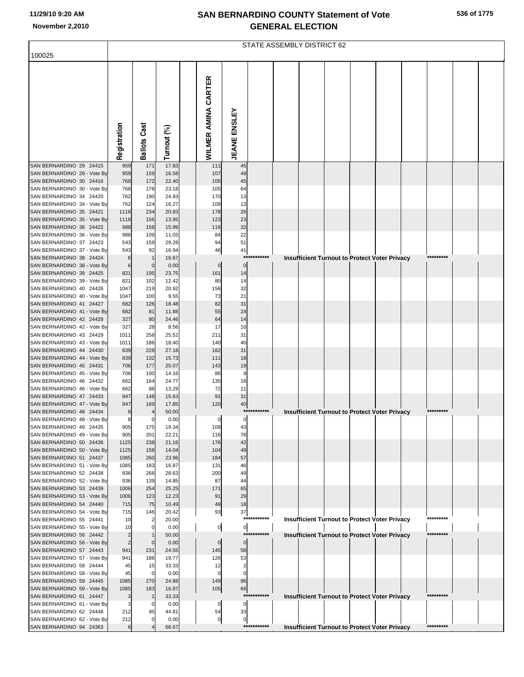| 536 of 1775 |  |  |  |
|-------------|--|--|--|
|-------------|--|--|--|

|                                                        | STATE ASSEMBLY DISTRICT 62       |                     |                |                     |                                             |              |  |  |  |  |                                                      |  |           |  |
|--------------------------------------------------------|----------------------------------|---------------------|----------------|---------------------|---------------------------------------------|--------------|--|--|--|--|------------------------------------------------------|--|-----------|--|
| 100025                                                 |                                  |                     |                |                     |                                             |              |  |  |  |  |                                                      |  |           |  |
|                                                        |                                  |                     |                |                     |                                             |              |  |  |  |  |                                                      |  |           |  |
|                                                        |                                  |                     |                |                     |                                             |              |  |  |  |  |                                                      |  |           |  |
|                                                        |                                  |                     |                |                     |                                             |              |  |  |  |  |                                                      |  |           |  |
|                                                        |                                  |                     |                |                     |                                             |              |  |  |  |  |                                                      |  |           |  |
|                                                        |                                  |                     |                |                     |                                             |              |  |  |  |  |                                                      |  |           |  |
|                                                        |                                  |                     |                |                     |                                             |              |  |  |  |  |                                                      |  |           |  |
|                                                        |                                  |                     |                |                     |                                             |              |  |  |  |  |                                                      |  |           |  |
|                                                        |                                  |                     |                |                     |                                             |              |  |  |  |  |                                                      |  |           |  |
|                                                        | Registration                     | <b>Ballots Cast</b> | Turnout (%)    | WILMER AMINA CARTER | <b>JEANE ENSLEY</b>                         |              |  |  |  |  |                                                      |  |           |  |
| SAN BERNARDINO 29 24415                                | 959                              | 171                 | 17.83          | 111                 | 45                                          |              |  |  |  |  |                                                      |  |           |  |
| SAN BERNARDINO 29 - Vote By                            | 959                              | 159                 | 16.58          | 107                 | 49                                          |              |  |  |  |  |                                                      |  |           |  |
| SAN BERNARDINO 30 24416<br>SAN BERNARDINO 30 - Vote By | 768<br>768                       | 172<br>178          | 22.40<br>23.18 | 105<br>105          | 45<br>64                                    |              |  |  |  |  |                                                      |  |           |  |
| SAN BERNARDINO 34 24420                                | 762                              | 190                 | 24.93          | 170                 | 13                                          |              |  |  |  |  |                                                      |  |           |  |
| SAN BERNARDINO 34 - Vote By<br>SAN BERNARDINO 35 24421 | 762<br>1118                      | 124<br>234          | 16.27<br>20.93 | 109<br>178          | 13<br>26                                    |              |  |  |  |  |                                                      |  |           |  |
| SAN BERNARDINO 35 - Vote By                            | 1118                             | 156                 | 13.95          | 123                 | 23                                          |              |  |  |  |  |                                                      |  |           |  |
| SAN BERNARDINO 36 24422                                | 988                              | 158                 | 15.99          | 116                 | 32                                          |              |  |  |  |  |                                                      |  |           |  |
| SAN BERNARDINO 36 - Vote By<br>SAN BERNARDINO 37 24423 | 988<br>543                       | 109<br>159          | 11.03<br>29.28 | 84<br>94            | 22<br>51                                    |              |  |  |  |  |                                                      |  |           |  |
| SAN BERNARDINO 37 - Vote By                            | 543                              | 92                  | 16.94          | 46                  | 41                                          |              |  |  |  |  |                                                      |  |           |  |
| SAN BERNARDINO 38 24424<br>SAN BERNARDINO 38 - Vote By | 6<br>$6\phantom{1}6$             | $\mathbf 0$         | 16.67<br>0.00  |                     | $\pmb{0}$<br>$\pmb{0}$                      | ******       |  |  |  |  | <b>Insufficient Turnout to Protect Voter Privacy</b> |  |           |  |
| SAN BERNARDINO 39 24425                                | 821                              | 195                 | 23.75          | 161                 | 14                                          |              |  |  |  |  |                                                      |  |           |  |
| SAN BERNARDINO 39 - Vote By                            | 821                              | 102                 | 12.42          | 80                  | 14                                          |              |  |  |  |  |                                                      |  |           |  |
| SAN BERNARDINO 40 24426<br>SAN BERNARDINO 40 - Vote By | 1047<br>1047                     | 219<br>100          | 20.92<br>9.55  | 156<br>73           | 32<br>21                                    |              |  |  |  |  |                                                      |  |           |  |
| SAN BERNARDINO 41 24427                                | 682                              | 126                 | 18.48          | 82                  | 31                                          |              |  |  |  |  |                                                      |  |           |  |
| SAN BERNARDINO 41 - Vote By                            | 682                              | 81                  | 11.88          | 55                  | 24                                          |              |  |  |  |  |                                                      |  |           |  |
| SAN BERNARDINO 42 24428<br>SAN BERNARDINO 42 - Vote By | 327<br>327                       | 80<br>28            | 24.46<br>8.56  | 64<br>17            | 14<br>10                                    |              |  |  |  |  |                                                      |  |           |  |
| SAN BERNARDINO 43 24429                                | 1011                             | 258                 | 25.52          | 211                 | 31                                          |              |  |  |  |  |                                                      |  |           |  |
| SAN BERNARDINO 43 - Vote By<br>SAN BERNARDINO 44 24430 | 1011<br>839                      | 186<br>228          | 18.40<br>27.18 | 140<br>182          | 40<br>31                                    |              |  |  |  |  |                                                      |  |           |  |
| SAN BERNARDINO 44 - Vote By                            | 839                              | 132                 | 15.73          | 111                 | 18                                          |              |  |  |  |  |                                                      |  |           |  |
| SAN BERNARDINO 45 24431                                | 706                              | 177                 | 25.07          | 143                 | 19                                          |              |  |  |  |  |                                                      |  |           |  |
| SAN BERNARDINO 45 - Vote By<br>SAN BERNARDINO 46 24432 | 706<br>662                       | 100<br>164          | 14.16<br>24.77 | 86<br>135           | 9<br>18                                     |              |  |  |  |  |                                                      |  |           |  |
| SAN BERNARDINO 46 - Vote By                            | 662                              | 88                  | 13.29          | 72                  | 11                                          |              |  |  |  |  |                                                      |  |           |  |
| SAN BERNARDINO 47 24433<br>SAN BERNARDINO 47 - Vote By | 947<br>947                       | 148<br>169          | 15.63<br>17.85 | 91<br>120           | 31<br>40                                    |              |  |  |  |  |                                                      |  |           |  |
| SAN BERNARDINO 48 24434                                | 8                                | 4                   | 50.00          |                     |                                             | ************ |  |  |  |  | <b>Insufficient Turnout to Protect Voter Privacy</b> |  | ********* |  |
| SAN BERNARDINO 48 - Vote By                            |                                  |                     | 0.00           |                     | ΩL<br>ΩL                                    |              |  |  |  |  |                                                      |  |           |  |
| SAN BERNARDINO 49 24435<br>SAN BERNARDINO 49 - Vote By | 905<br>905                       | 175<br>201          | 19.34<br>22.21 | 109<br>116          | 43<br>78                                    |              |  |  |  |  |                                                      |  |           |  |
| SAN BERNARDINO 50 24436                                | 1125                             | 238                 | 21.16          | 176                 | 42                                          |              |  |  |  |  |                                                      |  |           |  |
| SAN BERNARDINO 50 - Vote By<br>SAN BERNARDINO 51 24437 | 1125<br>1085                     | 158<br>260          | 14.04          | 104<br>184          | 49<br>57                                    |              |  |  |  |  |                                                      |  |           |  |
| SAN BERNARDINO 51 - Vote By                            | 1085                             | 183                 | 23.96<br>16.87 | 131                 | 46                                          |              |  |  |  |  |                                                      |  |           |  |
| SAN BERNARDINO 52 24438                                | 936                              | 268                 | 28.63          | 200                 | 49                                          |              |  |  |  |  |                                                      |  |           |  |
| SAN BERNARDINO 52 - Vote By<br>SAN BERNARDINO 53 24439 | 936<br>1006                      | 139<br>254          | 14.85<br>25.25 | 87<br>171           | 44<br>65                                    |              |  |  |  |  |                                                      |  |           |  |
| SAN BERNARDINO 53 - Vote By                            | 1006                             | 123                 | 12.23          | 91                  | 29                                          |              |  |  |  |  |                                                      |  |           |  |
| SAN BERNARDINO 54 24440                                | 715                              | 75                  | 10.49          | 49                  | 18                                          |              |  |  |  |  |                                                      |  |           |  |
| SAN BERNARDINO 54 - Vote By<br>SAN BERNARDINO 55 24441 | 715<br>10                        | 146                 | 20.42<br>20.00 | 93                  | 37                                          | ***********  |  |  |  |  | <b>Insufficient Turnout to Protect Voter Privacy</b> |  | ********* |  |
| SAN BERNARDINO 55 - Vote By                            | 10                               |                     | 0.00           |                     | $\overline{0}$<br>$\mathbf{0}$              |              |  |  |  |  |                                                      |  |           |  |
| SAN BERNARDINO 56 24442<br>SAN BERNARDINO 56 - Vote By | $\overline{2}$<br>$\overline{c}$ | $\mathbf 0$         | 50.00<br>0.00  |                     | ***<br>$\overline{0}$<br>$\pmb{0}$          | *******      |  |  |  |  | Insufficient Turnout to Protect Voter Privacy        |  | ********* |  |
| SAN BERNARDINO 57 24443                                | 941                              | 231                 | 24.55          | 145                 | 58                                          |              |  |  |  |  |                                                      |  |           |  |
| SAN BERNARDINO 57 - Vote By                            | 941                              | 186                 | 19.77          | 126                 | 53                                          |              |  |  |  |  |                                                      |  |           |  |
| SAN BERNARDINO 58 24444<br>SAN BERNARDINO 58 - Vote By | 45<br>45                         | 15<br>0             | 33.33<br>0.00  | 12                  | $\overline{\mathbf{c}}$<br>$\mathbf 0$<br>0 |              |  |  |  |  |                                                      |  |           |  |
| SAN BERNARDINO 59 24445                                | 1085                             | 270                 | 24.88          | 149                 | 96                                          |              |  |  |  |  |                                                      |  |           |  |
| SAN BERNARDINO 59 - Vote By<br>SAN BERNARDINO 61 24447 | 1085<br>3                        | 183                 | 16.87<br>33.33 | 105                 | 66                                          | ***********  |  |  |  |  | Insufficient Turnout to Protect Voter Privacy        |  | ********* |  |
| SAN BERNARDINO 61 - Vote By                            | 3                                |                     | 0.00           |                     | 0                                           |              |  |  |  |  |                                                      |  |           |  |
| SAN BERNARDINO 62 24448                                | 212                              | 95                  | 44.81          | 54                  | 33                                          |              |  |  |  |  |                                                      |  |           |  |
| SAN BERNARDINO 62 - Vote By<br>SAN BERNARDINO 94 24363 | 212<br>6                         |                     | 0.00<br>66.67  |                     | $\mathbf{0}$<br>$\overline{0}$              | ***********  |  |  |  |  | <b>Insufficient Turnout to Protect Voter Privacy</b> |  | ********* |  |
|                                                        |                                  |                     |                |                     |                                             |              |  |  |  |  |                                                      |  |           |  |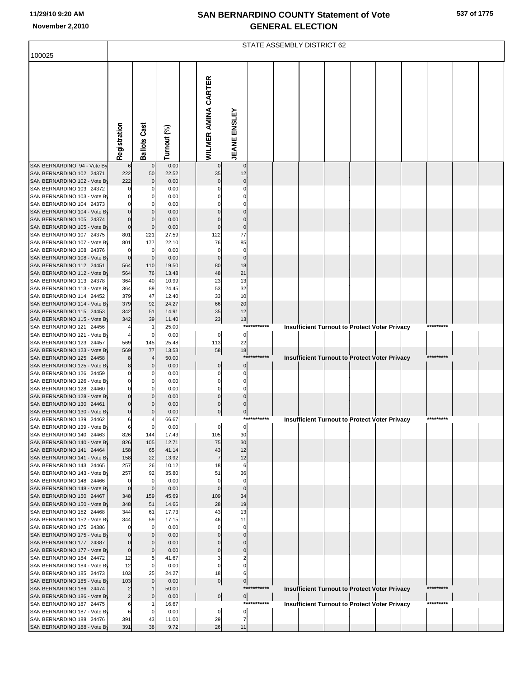|  |  | 537 of 1775 |
|--|--|-------------|
|--|--|-------------|

|                                                          | STATE ASSEMBLY DISTRICT 62 |                      |                |                     |                      |                        |             |  |  |  |  |                                                      |  |           |  |  |
|----------------------------------------------------------|----------------------------|----------------------|----------------|---------------------|----------------------|------------------------|-------------|--|--|--|--|------------------------------------------------------|--|-----------|--|--|
| 100025                                                   |                            |                      |                |                     |                      |                        |             |  |  |  |  |                                                      |  |           |  |  |
|                                                          |                            |                      |                |                     |                      |                        |             |  |  |  |  |                                                      |  |           |  |  |
|                                                          |                            |                      |                |                     |                      |                        |             |  |  |  |  |                                                      |  |           |  |  |
|                                                          |                            |                      |                | WILMER AMINA CARTER |                      |                        |             |  |  |  |  |                                                      |  |           |  |  |
|                                                          |                            |                      |                |                     |                      |                        |             |  |  |  |  |                                                      |  |           |  |  |
|                                                          |                            |                      |                |                     |                      |                        |             |  |  |  |  |                                                      |  |           |  |  |
|                                                          |                            |                      |                |                     |                      |                        |             |  |  |  |  |                                                      |  |           |  |  |
|                                                          |                            |                      |                |                     |                      |                        |             |  |  |  |  |                                                      |  |           |  |  |
|                                                          |                            |                      |                |                     |                      |                        |             |  |  |  |  |                                                      |  |           |  |  |
|                                                          |                            |                      |                |                     |                      |                        |             |  |  |  |  |                                                      |  |           |  |  |
|                                                          |                            |                      |                |                     |                      |                        |             |  |  |  |  |                                                      |  |           |  |  |
|                                                          | Registration               | <b>Ballots Cast</b>  | Turnout (%)    |                     |                      | <b>JEANE ENSLEY</b>    |             |  |  |  |  |                                                      |  |           |  |  |
| SAN BERNARDINO 94 - Vote By                              |                            | $\mathbf 0$          | 0.00           |                     |                      | $\mathbf 0$            |             |  |  |  |  |                                                      |  |           |  |  |
| SAN BERNARDINO 102 24371                                 | 222                        | 50                   | 22.52          |                     | 35                   | 12                     |             |  |  |  |  |                                                      |  |           |  |  |
| SAN BERNARDINO 102 - Vote By                             | 222                        | $\mathbf 0$          | 0.00           |                     | $\Omega$             | $\pmb{0}$              |             |  |  |  |  |                                                      |  |           |  |  |
| SAN BERNARDINO 103 24372                                 |                            | 0                    | 0.00           |                     |                      | $\Omega$               |             |  |  |  |  |                                                      |  |           |  |  |
| SAN BERNARDINO 103 - Vote By                             |                            | 0                    | 0.00           |                     |                      |                        |             |  |  |  |  |                                                      |  |           |  |  |
| SAN BERNARDINO 104 24373                                 |                            | O                    | 0.00           |                     |                      | $\Omega$               |             |  |  |  |  |                                                      |  |           |  |  |
| SAN BERNARDINO 104 - Vote By<br>SAN BERNARDINO 105 24374 |                            | $\Omega$<br>$\Omega$ | 0.00<br>0.00   |                     | $\Omega$             | 0<br>$\mathbf 0$       |             |  |  |  |  |                                                      |  |           |  |  |
| SAN BERNARDINO 105 - Vote By                             | C                          | $\mathbf 0$          | 0.00           |                     | $\Omega$             | $\pmb{0}$              |             |  |  |  |  |                                                      |  |           |  |  |
| SAN BERNARDINO 107 24375                                 | 801                        | 221                  | 27.59          |                     | 122                  | 77                     |             |  |  |  |  |                                                      |  |           |  |  |
| SAN BERNARDINO 107 - Vote By                             | 801                        | 177                  | 22.10          |                     | 76                   | 85                     |             |  |  |  |  |                                                      |  |           |  |  |
| SAN BERNARDINO 108 24376                                 |                            | $\mathbf 0$          | 0.00           |                     | $\Omega$             | $\mathbf 0$            |             |  |  |  |  |                                                      |  |           |  |  |
| SAN BERNARDINO 108 - Vote By<br>SAN BERNARDINO 112 24451 | $\Omega$<br>564            | $\mathbf 0$<br>110   | 0.00<br>19.50  |                     | $\Omega$<br>80       | $\pmb{0}$<br>18        |             |  |  |  |  |                                                      |  |           |  |  |
| SAN BERNARDINO 112 - Vote By                             | 564                        | 76                   | 13.48          |                     | 48                   | 21                     |             |  |  |  |  |                                                      |  |           |  |  |
| SAN BERNARDINO 113 24378                                 | 364                        | 40                   | 10.99          |                     | 23                   | 13                     |             |  |  |  |  |                                                      |  |           |  |  |
| SAN BERNARDINO 113 - Vote By                             | 364                        | 89                   | 24.45          |                     | 53                   | 32                     |             |  |  |  |  |                                                      |  |           |  |  |
| SAN BERNARDINO 114 24452                                 | 379                        | 47                   | 12.40          |                     | 33                   | 10                     |             |  |  |  |  |                                                      |  |           |  |  |
| SAN BERNARDINO 114 - Vote By                             | 379                        | 92                   | 24.27          |                     | 66                   | 20                     |             |  |  |  |  |                                                      |  |           |  |  |
| SAN BERNARDINO 115 24453<br>SAN BERNARDINO 115 - Vote By | 342<br>342                 | 51<br>39             | 14.91<br>11.40 |                     | 35<br>23             | 12<br>13               |             |  |  |  |  |                                                      |  |           |  |  |
| SAN BERNARDINO 121 24456                                 |                            |                      | 25.00          |                     |                      | ***                    | *******     |  |  |  |  | <b>Insufficient Turnout to Protect Voter Privacy</b> |  | ********* |  |  |
| SAN BERNARDINO 121 - Vote By                             |                            | 0                    | 0.00           |                     | $\overline{0}$       | $\overline{0}$         |             |  |  |  |  |                                                      |  |           |  |  |
| SAN BERNARDINO 123 24457                                 | 569                        | 145                  | 25.48          |                     | 113                  | 22                     |             |  |  |  |  |                                                      |  |           |  |  |
| SAN BERNARDINO 123 - Vote By                             | 569                        | 77                   | 13.53          |                     | 58                   | 18                     |             |  |  |  |  |                                                      |  |           |  |  |
| SAN BERNARDINO 125 24458<br>SAN BERNARDINO 125 - Vote By |                            | $\Omega$             | 50.00<br>0.00  |                     | 0                    | ***<br>$\mathbf 0$     | ******      |  |  |  |  | Insufficient Turnout to Protect Voter Privacy        |  |           |  |  |
| SAN BERNARDINO 126 24459                                 |                            |                      | 0.00           |                     |                      | 0                      |             |  |  |  |  |                                                      |  |           |  |  |
| SAN BERNARDINO 126 - Vote By                             |                            | 0                    | 0.00           |                     |                      | 0                      |             |  |  |  |  |                                                      |  |           |  |  |
| SAN BERNARDINO 128 24460                                 |                            | O                    | 0.00           |                     | O                    | $\Omega$               |             |  |  |  |  |                                                      |  |           |  |  |
| SAN BERNARDINO 128 - Vote By                             |                            | $\Omega$             | 0.00           |                     | $\Omega$             | $\mathbf 0$            |             |  |  |  |  |                                                      |  |           |  |  |
| SAN BERNARDINO 130 24461<br>SAN BERNARDINO 130 - Vote By | 0                          | $\Omega$             | 0.00           |                     | $\Omega$<br>0        |                        |             |  |  |  |  |                                                      |  |           |  |  |
| SAN BERNARDINO 139 24462                                 | 6                          |                      | 0.00<br>66.67  |                     |                      | $\overline{0}$<br>**** | *******     |  |  |  |  | <b>Insufficient Turnout to Protect Voter Privacy</b> |  |           |  |  |
| SAN BERNARDINO 139 - Vote By                             | 6                          | $\mathbf 0$          | 0.00           |                     | 0                    | $\mathbf 0$            |             |  |  |  |  |                                                      |  |           |  |  |
| SAN BERNARDINO 140 24463                                 | 826                        | 144                  | 17.43          |                     | 105                  | 30                     |             |  |  |  |  |                                                      |  |           |  |  |
| SAN BERNARDINO 140 - Vote By                             | 826                        | 105                  | 12.71          |                     | 75                   | 30                     |             |  |  |  |  |                                                      |  |           |  |  |
| SAN BERNARDINO 141 24464                                 | 158                        | 65                   | 41.14          |                     | 43                   | 12                     |             |  |  |  |  |                                                      |  |           |  |  |
| SAN BERNARDINO 141 - Vote By<br>SAN BERNARDINO 143 24465 | 158<br>257                 | 22<br>26             | 13.92<br>10.12 |                     | $\overline{7}$<br>18 | 12<br>6                |             |  |  |  |  |                                                      |  |           |  |  |
| SAN BERNARDINO 143 - Vote By                             | 257                        | 92                   | 35.80          |                     | 51                   | 36                     |             |  |  |  |  |                                                      |  |           |  |  |
| SAN BERNARDINO 148 24466                                 | n                          | $\mathbf 0$          | 0.00           |                     | $\mathbf 0$          | 0                      |             |  |  |  |  |                                                      |  |           |  |  |
| SAN BERNARDINO 148 - Vote By                             | $\mathbf 0$                | $\mathbf 0$          | 0.00           |                     | $\mathbf{0}$         | $\overline{0}$         |             |  |  |  |  |                                                      |  |           |  |  |
| SAN BERNARDINO 150 24467                                 | 348                        | 159                  | 45.69          |                     | 109                  | 34                     |             |  |  |  |  |                                                      |  |           |  |  |
| SAN BERNARDINO 150 - Vote By<br>SAN BERNARDINO 152 24468 | 348<br>344                 | 51<br>61             | 14.66<br>17.73 |                     | 28<br>43             | 19<br>13               |             |  |  |  |  |                                                      |  |           |  |  |
| SAN BERNARDINO 152 - Vote By                             | 344                        | 59                   | 17.15          |                     | 46                   | 11                     |             |  |  |  |  |                                                      |  |           |  |  |
| SAN BERNARDINO 175 24386                                 |                            | $\mathbf 0$          | 0.00           |                     |                      | 0                      |             |  |  |  |  |                                                      |  |           |  |  |
| SAN BERNARDINO 175 - Vote By                             |                            | $\mathbf 0$          | 0.00           |                     |                      | $\mathbf 0$            |             |  |  |  |  |                                                      |  |           |  |  |
| SAN BERNARDINO 177 24387                                 |                            | $\Omega$             | 0.00           |                     | $\Omega$             | $\Omega$               |             |  |  |  |  |                                                      |  |           |  |  |
| SAN BERNARDINO 177 - Vote By<br>SAN BERNARDINO 184 24472 | $\Omega$<br>12             | $\mathbf 0$<br>5     | 0.00<br>41.67  |                     | $\Omega$             | $\mathbf 0$            |             |  |  |  |  |                                                      |  |           |  |  |
| SAN BERNARDINO 184 - Vote By                             | 12                         | $\mathbf 0$          | 0.00           |                     | $\mathbf 0$          | $\Omega$               |             |  |  |  |  |                                                      |  |           |  |  |
| SAN BERNARDINO 185 24473                                 | 103                        | 25                   | 24.27          |                     | 18                   | 6                      |             |  |  |  |  |                                                      |  |           |  |  |
| SAN BERNARDINO 185 - Vote By                             | 103                        | $\mathbf 0$          | 0.00           |                     | $\overline{0}$       | 이                      |             |  |  |  |  |                                                      |  |           |  |  |
| SAN BERNARDINO 186 24474                                 |                            | $\mathbf 1$          | 50.00          |                     |                      |                        | *********** |  |  |  |  | <b>Insufficient Turnout to Protect Voter Privacy</b> |  | ********* |  |  |
| SAN BERNARDINO 186 - Vote By<br>SAN BERNARDINO 187 24475 | $\overline{2}$             | $\Omega$             | 0.00<br>16.67  |                     | $\overline{0}$       | 이<br>****              | ********    |  |  |  |  |                                                      |  | ********* |  |  |
| SAN BERNARDINO 187 - Vote By                             | 6                          | $\Omega$             | 0.00           |                     | 0                    | $\overline{0}$         |             |  |  |  |  | <b>Insufficient Turnout to Protect Voter Privacy</b> |  |           |  |  |
| SAN BERNARDINO 188 24476                                 | 391                        | 43                   | 11.00          |                     | 29                   | 7                      |             |  |  |  |  |                                                      |  |           |  |  |
| SAN BERNARDINO 188 - Vote By                             | 391                        | 38                   | 9.72           |                     | 26                   | 11                     |             |  |  |  |  |                                                      |  |           |  |  |